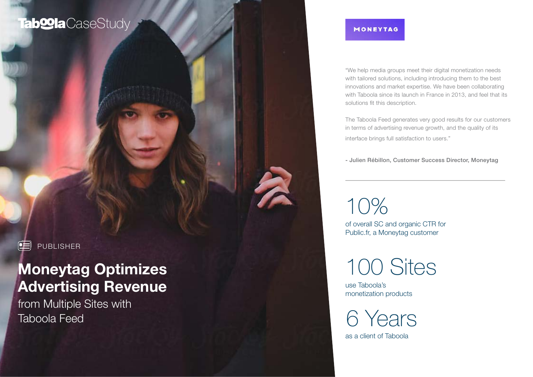## Tab**<sup>o</sup>la** CaseStudy

#### MONEYTAG

"We help media groups meet their digital monetization needs with tailored solutions, including introducing them to the best innovations and market expertise. We have been collaborating with Taboola since its launch in France in 2013, and feel that its solutions fit this description.

The Taboola Feed generates very good results for our customers in terms of advertising revenue growth, and the quality of its interface brings full satisfaction to users."

- Julien Rébillon, Customer Success Director, Moneytag

10%

of overall SC and organic CTR for Public.fr, a Moneytag customer

100 Sites

use Taboola's monetization products

as a client of Taboola 6 Years

**PUBLISHER** 

# Moneytag Optimizes Advertising Revenue

from Multiple Sites with Taboola Feed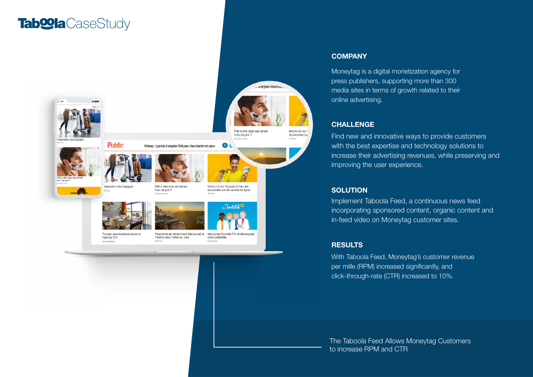# CaseStudy CaseStudy



#### **COMPANY**

Moneytag is a digital monetization agency for press publishers, supporting more than 300 media sites in terms of growth related to their online advertising.

#### CHALLENGE

Find new and innovative ways to provide customers with the best expertise and technology solutions to increase their advertising revenues, while preserving and improving the user experience.

#### **SOLUTION**

Implement Taboola Feed, a continuous news feed incorporating sponsored content, organic content and in-feed video on Moneytag customer sites.

#### **RESULTS**

With Taboola Feed, Moneytag's customer revenue per mille (RPM) increased significantly, and click-through-rate (CTR) increased to 10%.

The Taboola Feed Allows Moneytag Customers to increase RPM and CTR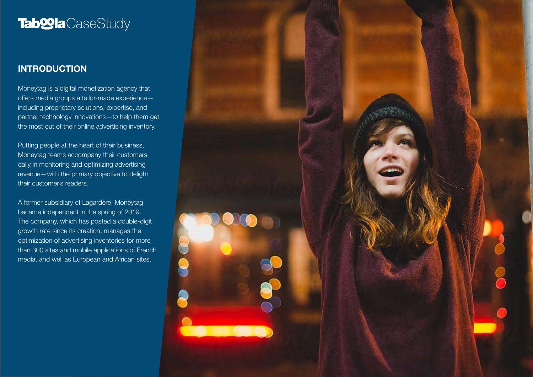## **Tab@la**CaseStudy

### **INTRODUCTION**

Moneytag is a digital monetization agency that offers media groups a tailor-made experience including proprietary solutions, expertise, and partner technology innovations—to help them get the most out of their online advertising inventory.

Putting people at the heart of their business, Moneytag teams accompany their customers daily in monitoring and optimizing advertising revenue—with the primary objective to delight their customer's readers.

A former subsidiary of Lagardère, Moneytag became independent in the spring of 2019. The company, which has posted a double-digit growth rate since its creation, manages the optimization of advertising inventories for more than 300 sites and mobile applications of French media, and well as European and African sites.